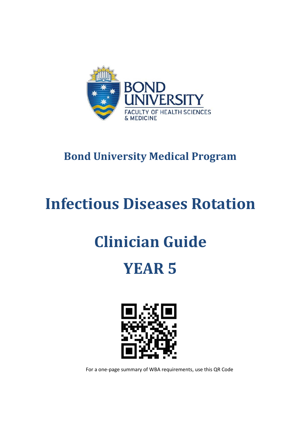

# **Bond University Medical Program**

# **Infectious Diseases Rotation**

# **Clinician Guide**

# **YEAR 5**



For a one-page summary of WBA requirements, use this QR Code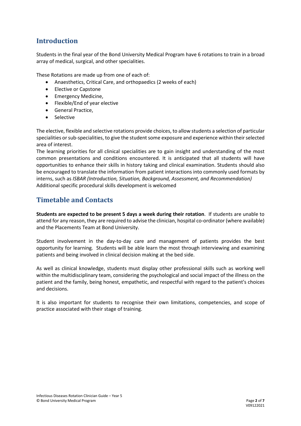# **Introduction**

Students in the final year of the Bond University Medical Program have 6 rotations to train in a broad array of medical, surgical, and other specialities.

These Rotations are made up from one of each of:

- Anaesthetics, Critical Care, and orthopaedics (2 weeks of each)
- Elective or Capstone
- Emergency Medicine,
- Flexible/End of year elective
- General Practice,
- Selective

The elective, flexible and selective rotations provide choices, to allow students a selection of particular specialities or sub-specialities, to give the student some exposure and experience within their selected area of interest.

The learning priorities for all clinical specialities are to gain insight and understanding of the most common presentations and conditions encountered. It is anticipated that all students will have opportunities to enhance their skills in history taking and clinical examination. Students should also be encouraged to translate the information from patient interactions into commonly used formats by interns, such as *ISBAR (Introduction, Situation, Background, Assessment, and Recommendation)* Additional specific procedural skills development is welcomed

## **Timetable and Contacts**

**Students are expected to be present 5 days a week during their rotation**. If students are unable to attend for any reason, they are required to advise the clinician, hospital co-ordinator (where available) and the Placements Team at Bond University.

Student involvement in the day-to-day care and management of patients provides the best opportunity for learning. Students will be able learn the most through interviewing and examining patients and being involved in clinical decision making at the bed side.

As well as clinical knowledge, students must display other professional skills such as working well within the multidisciplinary team, considering the psychological and social impact of the illness on the patient and the family, being honest, empathetic, and respectful with regard to the patient's choices and decisions.

It is also important for students to recognise their own limitations, competencies, and scope of practice associated with their stage of training.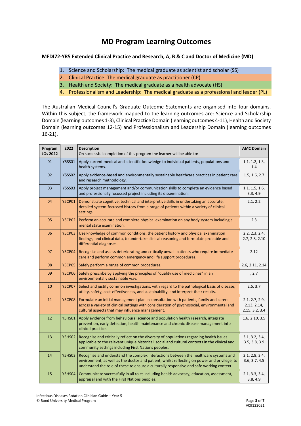# **MD Program Learning Outcomes**

#### **MEDI72-YR5 Extended Clinical Practice and Research, A, B & C and Doctor of Medicine (MD)**

- 1. Science and Scholarship: The medical graduate as scientist and scholar (SS)
- 2. Clinical Practice: The medical graduate as practitioner (CP)
- 3. Health and Society: The medical graduate as a health advocate (HS)
- 4. Professionalism and Leadership: The medical graduate as a professional and leader (PL)

The Australian Medical Council's Graduate Outcome Statements are organised into four domains. Within this subject, the framework mapped to the learning outcomes are: Science and Scholarship Domain (learning outcomes 1-3), Clinical Practice Domain (learning outcomes 4-11), Health and Society Domain (learning outcomes 12-15) and Professionalism and Leadership Domain (learning outcomes 16-21).

| Program<br>LOs 2022 | 2022          | <b>Description</b><br>On successful completion of this program the learner will be able to:                                                                                                                                                                                      | <b>AMC Domain</b>                               |
|---------------------|---------------|----------------------------------------------------------------------------------------------------------------------------------------------------------------------------------------------------------------------------------------------------------------------------------|-------------------------------------------------|
| 01                  | <b>Y5SS01</b> | Apply current medical and scientific knowledge to individual patients, populations and<br>health systems.                                                                                                                                                                        | 1.1, 1.2, 1.3,<br>1.4                           |
| 02                  | <b>Y5SS02</b> | Apply evidence-based and environmentally sustainable healthcare practices in patient care<br>and research methodology.                                                                                                                                                           | 1.5, 1.6, 2.7                                   |
| 03                  | <b>Y5SS03</b> | Apply project management and/or communication skills to complete an evidence based<br>and professionally focussed project including its dissemination.                                                                                                                           | 1.1, 1.5, 1.6,<br>3.3, 4.9                      |
| 04                  | <b>Y5CP01</b> | Demonstrate cognitive, technical and interpretive skills in undertaking an accurate,<br>detailed system-focussed history from a range of patients within a variety of clinical<br>settings.                                                                                      | 2.1, 2.2                                        |
| 05                  | <b>Y5CP02</b> | Perform an accurate and complete physical examination on any body system including a<br>mental state examination.                                                                                                                                                                | 2.3                                             |
| 06                  | <b>Y5CP03</b> | Use knowledge of common conditions, the patient history and physical examination<br>findings, and clinical data, to undertake clinical reasoning and formulate probable and<br>differential diagnoses.                                                                           | 2.2, 2.3, 2.4,<br>2.7, 2.8, 2.10                |
| 07                  | <b>Y5CP04</b> | Recognise and assess deteriorating and critically unwell patients who require immediate<br>care and perform common emergency and life support procedures.                                                                                                                        | 2.12                                            |
| 08                  | <b>Y5CP05</b> | Safely perform a range of common procedures.                                                                                                                                                                                                                                     | 2.6, 2.11, 2.14                                 |
| 09                  | <b>Y5CP06</b> | Safely prescribe by applying the principles of "quality use of medicines" in an<br>environmentally sustainable way.                                                                                                                                                              | , 2.7                                           |
| 10                  | <b>Y5CP07</b> | Select and justify common investigations, with regard to the pathological basis of disease,<br>utility, safety, cost-effectiveness, and sustainability, and interpret their results.                                                                                             | 2.5, 3.7                                        |
| 11                  | <b>Y5CP08</b> | Formulate an initial management plan in consultation with patients, family and carers<br>across a variety of clinical settings with consideration of psychosocial, environmental and<br>cultural aspects that may influence management.                                          | 2.1, 2.7, 2.9,<br>2.13, 2.14,<br>2.15, 3.2, 3.4 |
| 12                  | <b>Y5HS01</b> | Apply evidence from behavioural science and population health research, integrate<br>prevention, early detection, health maintenance and chronic disease management into<br>clinical practice.                                                                                   | 1.6, 2.10, 3.5                                  |
| 13                  | <b>Y5HS02</b> | Recognise and critically reflect on the diversity of populations regarding health issues<br>applicable to the relevant unique historical, social and cultural contexts in the clinical and<br>community settings including First Nations peoples.                                | 3.1, 3.2, 3.4,<br>3.5, 3.8, 3.9                 |
| 14                  | <b>Y5HS03</b> | Recognise and understand the complex interactions between the healthcare systems and<br>environment, as well as the doctor and patient, whilst reflecting on power and privilege, to<br>understand the role of these to ensure a culturally responsive and safe working context. | 2.1, 2.8, 3.4,<br>3.6, 3.7, 4.5                 |
| 15                  | <b>Y5HS04</b> | Communicate successfully in all roles including health advocacy, education, assessment,<br>appraisal and with the First Nations peoples.                                                                                                                                         | 2.1, 3.3, 3.4,<br>3.8, 4.9                      |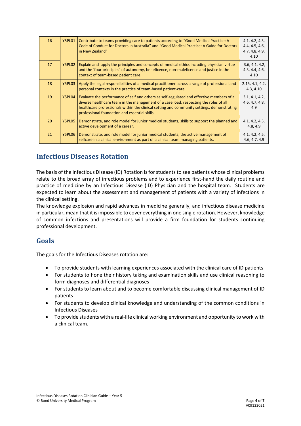| 16 | Y5PL01 | Contribute to teams providing care to patients according to "Good Medical Practice: A<br>Code of Conduct for Doctors in Australia" and "Good Medical Practice: A Guide for Doctors<br>in New Zealand"                                                                                                                            | 4.1, 4.2, 4.3,<br>4.4, 4.5, 4.6,<br>4.7, 4.8, 4.9,<br>4.10 |
|----|--------|----------------------------------------------------------------------------------------------------------------------------------------------------------------------------------------------------------------------------------------------------------------------------------------------------------------------------------|------------------------------------------------------------|
| 17 | Y5PL02 | Explain and apply the principles and concepts of medical ethics including physician virtue<br>and the 'four principles' of autonomy, beneficence, non-maleficence and justice in the<br>context of team-based patient care.                                                                                                      | 3.6, 4.1, 4.2,<br>4.3, 4.4, 4.6,<br>4.10                   |
| 18 | Y5PL03 | Apply the legal responsibilities of a medical practitioner across a range of professional and<br>personal contexts in the practice of team-based patient-care.                                                                                                                                                                   | 2.15, 4.1, 4.2,<br>4.3, 4.10                               |
| 19 | Y5PL04 | Evaluate the performance of self and others as self-regulated and effective members of a<br>diverse healthcare team in the management of a case load, respecting the roles of all<br>healthcare professionals within the clinical setting and community settings, demonstrating<br>professional foundation and essential skills. | 3.1, 4.1, 4.2,<br>4.6, 4.7, 4.8,<br>4.9                    |
| 20 | Y5PL05 | Demonstrate, and role model for junior medical students, skills to support the planned and<br>active development of a career.                                                                                                                                                                                                    | 4.1, 4.2, 4.3,<br>4.8, 4.9                                 |
| 21 | Y5PL06 | Demonstrate, and role model for junior medical students, the active management of<br>selfcare in a clinical environment as part of a clinical team managing patients.                                                                                                                                                            | 4.1, 4.2, 4.5,<br>4.6, 4.7, 4.9                            |

## **Infectious Diseases Rotation**

The basis of the Infectious Disease (ID) Rotation is for students to see patients whose clinical problems relate to the broad array of infectious problems and to experience first-hand the daily routine and practice of medicine by an Infectious Disease (ID) Physician and the hospital team. Students are expected to learn about the assessment and management of patients with a variety of infections in the clinical setting.

The knowledge explosion and rapid advances in medicine generally, and infectious disease medicine in particular, mean that it is impossible to cover everything in one single rotation. However, knowledge of common infections and presentations will provide a firm foundation for students continuing professional development.

## **Goals**

The goals for the Infectious Diseases rotation are:

- To provide students with learning experiences associated with the clinical care of ID patients
- For students to hone their history taking and examination skills and use clinical reasoning to form diagnoses and differential diagnoses
- For students to learn about and to become comfortable discussing clinical management of ID patients
- For students to develop clinical knowledge and understanding of the common conditions in Infectious Diseases
- To provide students with a real-life clinical working environment and opportunity to work with a clinical team.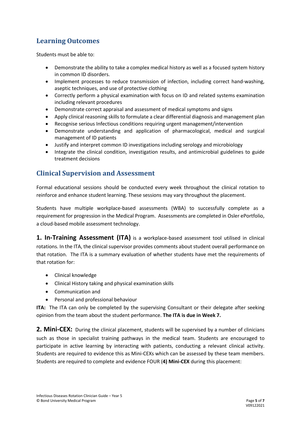# **Learning Outcomes**

Students must be able to:

- Demonstrate the ability to take a complex medical history as well as a focused system history in common ID disorders.
- Implement processes to reduce transmission of infection, including correct hand-washing, aseptic techniques, and use of protective clothing
- Correctly perform a physical examination with focus on ID and related systems examination including relevant procedures
- Demonstrate correct appraisal and assessment of medical symptoms and signs
- Apply clinical reasoning skills to formulate a clear differential diagnosis and management plan
- Recognise serious Infectious conditions requiring urgent management/intervention
- Demonstrate understanding and application of pharmacological, medical and surgical management of ID patients
- Justify and interpret common ID investigations including serology and microbiology
- Integrate the clinical condition, investigation results, and antimicrobial guidelines to guide treatment decisions

## **Clinical Supervision and Assessment**

Formal educational sessions should be conducted every week throughout the clinical rotation to reinforce and enhance student learning. These sessions may vary throughout the placement.

Students have multiple workplace-based assessments (WBA) to successfully complete as a requirement for progression in the Medical Program. Assessments are completed in Osler ePortfolio, a cloud-based mobile assessment technology.

**1. In-Training Assessment (ITA)** is a workplace-based assessment tool utilised in clinical rotations. In the ITA, the clinical supervisor provides comments about student overall performance on that rotation. The ITA is a summary evaluation of whether students have met the requirements of that rotation for:

- Clinical knowledge
- Clinical History taking and physical examination skills
- Communication and
- Personal and professional behaviour

**ITA:** The ITA can only be completed by the supervising Consultant or their delegate after seeking opinion from the team about the student performance. **The ITA is due in Week 7.**

**2. Mini-CEX:** During the clinical placement, students will be supervised by a number of clinicians such as those in specialist training pathways in the medical team. Students are encouraged to participate in active learning by interacting with patients, conducting a relevant clinical activity. Students are required to evidence this as Mini-CEXs which can be assessed by these team members. Students are required to complete and evidence FOUR (**4) Mini-CEX** during this placement: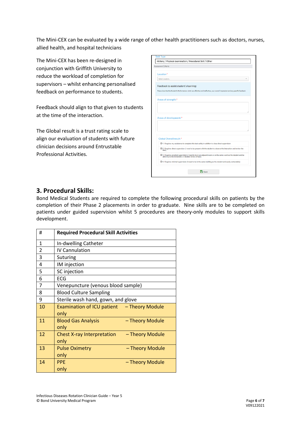The Mini-CEX can be evaluated by a wide range of other health practitioners such as doctors, nurses, allied health, and hospital technicians

The Mini-CEX has been re-designed in conjunction with Griffith University to reduce the workload of completion for supervisors – whilst enhancing personalised feedback on performance to students.

Feedback should align to that given to students at the time of the interaction.

The Global result is a trust rating scale to align our evaluation of students with future clinician decisions around Entrustable Professional Activities.

| Assessment Criteria |                                                                                                                                                                         |  |
|---------------------|-------------------------------------------------------------------------------------------------------------------------------------------------------------------------|--|
| Location*           |                                                                                                                                                                         |  |
| Select Location     |                                                                                                                                                                         |  |
|                     | Feedback to assist student's learning:                                                                                                                                  |  |
|                     | Please describe the Student's Performance: what was effective and ineffective, your overall impression and any specific feedback.                                       |  |
|                     | Areas of strength:*                                                                                                                                                     |  |
|                     |                                                                                                                                                                         |  |
|                     |                                                                                                                                                                         |  |
|                     |                                                                                                                                                                         |  |
|                     |                                                                                                                                                                         |  |
|                     | Areas of development:*                                                                                                                                                  |  |
|                     |                                                                                                                                                                         |  |
|                     |                                                                                                                                                                         |  |
|                     | Global Overall result:*                                                                                                                                                 |  |
|                     | O 1. Requires my assistance to complete this task safely in addition to close direct supervision                                                                        |  |
| task)               | O 2. Requires direct supervision (I need to be present with the student to observe the interaction and review the                                                       |  |
|                     | O 3. Requires proximal supervision (I need to be in an adjacent room or on the same ward as the student and be<br>able to provide immediate or detailed review of task) |  |
|                     | O 4. Requires minimal supervision (I need to be in the same building as the student and easily contactable)                                                             |  |

#### **3. Procedural Skills:**

Bond Medical Students are required to complete the following procedural skills on patients by the completion of their Phase 2 placements in order to graduate. Nine skills are to be completed on patients under guided supervision whilst 5 procedures are theory-only modules to support skills development.

| #              | <b>Required Procedural Skill Activities</b>                  |
|----------------|--------------------------------------------------------------|
| $\mathbf{1}$   | In-dwelling Catheter                                         |
| $\overline{2}$ | <b>IV Cannulation</b>                                        |
| 3              | Suturing                                                     |
| 4              | IM injection                                                 |
| 5              | SC injection                                                 |
| 6              | <b>ECG</b>                                                   |
| 7              | Venepuncture (venous blood sample)                           |
| 8              | <b>Blood Culture Sampling</b>                                |
| 9              | Sterile wash hand, gown, and glove                           |
| 10             | Examination of ICU patient - Theory Module<br>only           |
| 11             | <b>Blood Gas Analysis</b><br>- Theory Module<br>only         |
| 12             | <b>Chest X-ray Interpretation</b><br>- Theory Module<br>only |
| 13             | <b>Pulse Oximetry</b><br>- Theory Module<br>only             |
| 14             | <b>PPE</b><br>- Theory Module<br>only                        |